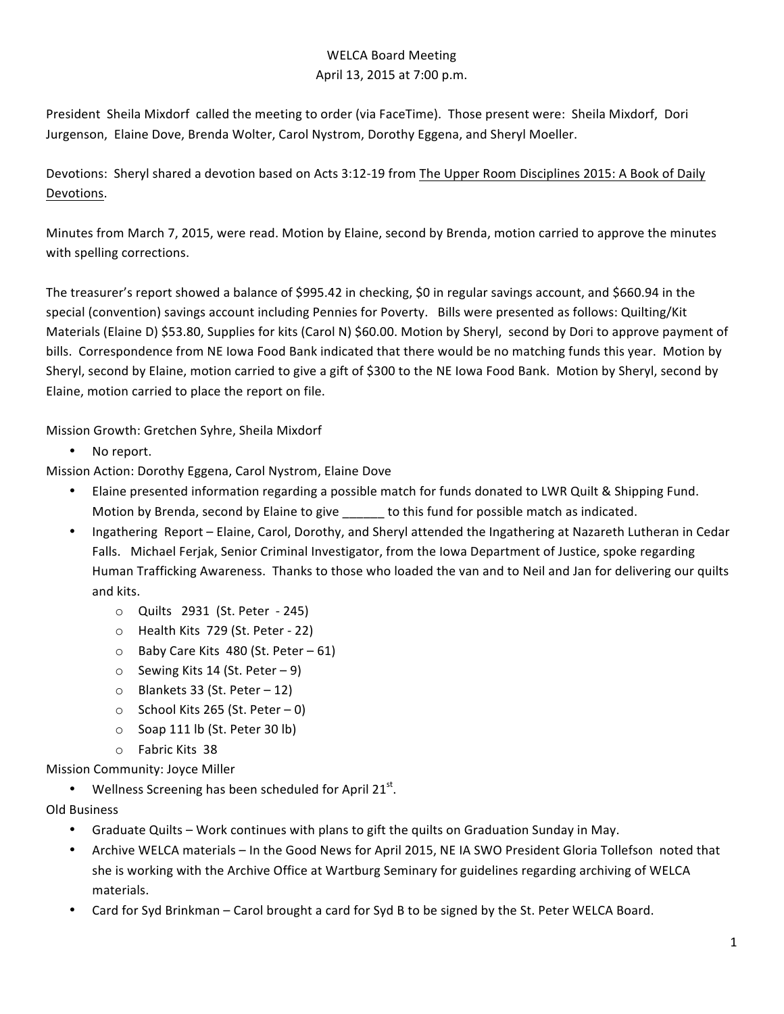## WELCA Board Meeting April 13, 2015 at 7:00 p.m.

President Sheila Mixdorf called the meeting to order (via FaceTime). Those present were: Sheila Mixdorf, Dori Jurgenson, Elaine Dove, Brenda Wolter, Carol Nystrom, Dorothy Eggena, and Sheryl Moeller.

Devotions: Sheryl shared a devotion based on Acts 3:12-19 from The Upper Room Disciplines 2015: A Book of Daily Devotions.

Minutes from March 7, 2015, were read. Motion by Elaine, second by Brenda, motion carried to approve the minutes with spelling corrections.

The treasurer's report showed a balance of \$995.42 in checking, \$0 in regular savings account, and \$660.94 in the special (convention) savings account including Pennies for Poverty. Bills were presented as follows: Quilting/Kit Materials (Elaine D) \$53.80, Supplies for kits (Carol N) \$60.00. Motion by Sheryl, second by Dori to approve payment of bills. Correspondence from NE lowa Food Bank indicated that there would be no matching funds this year. Motion by Sheryl, second by Elaine, motion carried to give a gift of \$300 to the NE Iowa Food Bank. Motion by Sheryl, second by Elaine, motion carried to place the report on file.

Mission Growth: Gretchen Syhre, Sheila Mixdorf

No report.

Mission Action: Dorothy Eggena, Carol Nystrom, Elaine Dove

- Elaine presented information regarding a possible match for funds donated to LWR Quilt & Shipping Fund. Motion by Brenda, second by Elaine to give to this fund for possible match as indicated.
- Ingathering Report Elaine, Carol, Dorothy, and Sheryl attended the Ingathering at Nazareth Lutheran in Cedar Falls. Michael Ferjak, Senior Criminal Investigator, from the Iowa Department of Justice, spoke regarding Human Trafficking Awareness. Thanks to those who loaded the van and to Neil and Jan for delivering our quilts and kits.
	- $\circ$  Quilts 2931 (St. Peter 245)
	- $\circ$  Health Kits 729 (St. Peter 22)
	- $\circ$  Baby Care Kits 480 (St. Peter 61)
	- $\circ$  Sewing Kits 14 (St. Peter 9)
	- $\circ$  Blankets 33 (St. Peter 12)
	- $\circ$  School Kits 265 (St. Peter 0)
	- $\circ$  Soap 111 lb (St. Peter 30 lb)
	- $\circ$  Fabric Kits 38

Mission Community: Joyce Miller

- Wellness Screening has been scheduled for April 21 $^{\rm st}$ .
- Old Business
	- Graduate Quilts Work continues with plans to gift the quilts on Graduation Sunday in May.
	- Archive WELCA materials In the Good News for April 2015, NE IA SWO President Gloria Tollefson noted that she is working with the Archive Office at Wartburg Seminary for guidelines regarding archiving of WELCA materials.
	- Card for Syd Brinkman Carol brought a card for Syd B to be signed by the St. Peter WELCA Board.